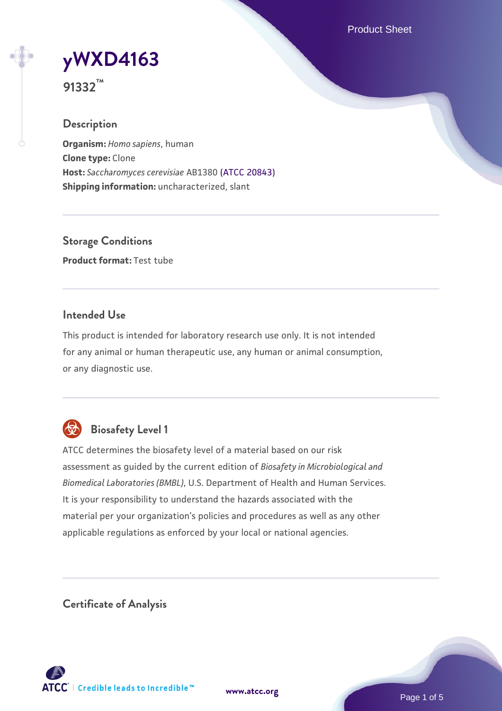Product Sheet



**91332™**

## **Description**

**Organism:** *Homo sapiens*, human **Clone type:** Clone **Host:** *Saccharomyces cerevisiae* AB1380 [\(ATCC 20843\)](https://www.atcc.org/products/20843) **Shipping information:** uncharacterized, slant

**Storage Conditions Product format:** Test tube

## **Intended Use**

This product is intended for laboratory research use only. It is not intended for any animal or human therapeutic use, any human or animal consumption, or any diagnostic use.



## **Biosafety Level 1**

ATCC determines the biosafety level of a material based on our risk assessment as guided by the current edition of *Biosafety in Microbiological and Biomedical Laboratories (BMBL)*, U.S. Department of Health and Human Services. It is your responsibility to understand the hazards associated with the material per your organization's policies and procedures as well as any other applicable regulations as enforced by your local or national agencies.

**Certificate of Analysis**

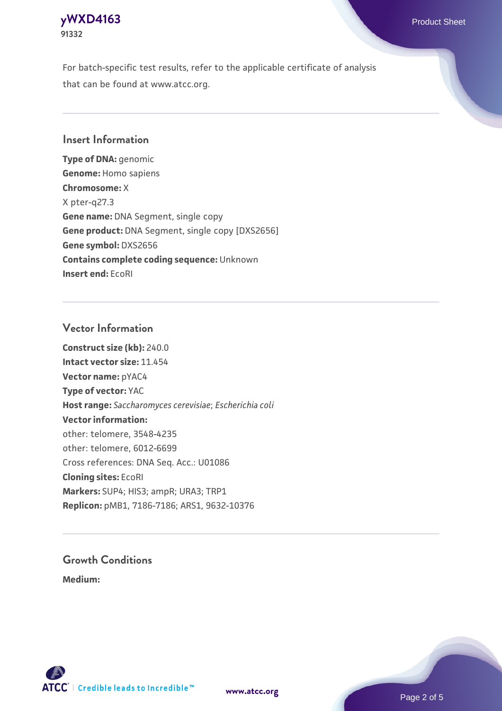## **[yWXD4163](https://www.atcc.org/products/91332)** Product Sheet **91332**

For batch-specific test results, refer to the applicable certificate of analysis that can be found at www.atcc.org.

## **Insert Information**

**Type of DNA:** genomic **Genome:** Homo sapiens **Chromosome:** X X pter-q27.3 **Gene name:** DNA Segment, single copy **Gene product:** DNA Segment, single copy [DXS2656] **Gene symbol:** DXS2656 **Contains complete coding sequence:** Unknown **Insert end:** EcoRI

## **Vector Information**

**Construct size (kb):** 240.0 **Intact vector size:** 11.454 **Vector name:** pYAC4 **Type of vector:** YAC **Host range:** *Saccharomyces cerevisiae*; *Escherichia coli* **Vector information:** other: telomere, 3548-4235 other: telomere, 6012-6699 Cross references: DNA Seq. Acc.: U01086 **Cloning sites:** EcoRI **Markers:** SUP4; HIS3; ampR; URA3; TRP1 **Replicon:** pMB1, 7186-7186; ARS1, 9632-10376

# **Growth Conditions**

**Medium:** 



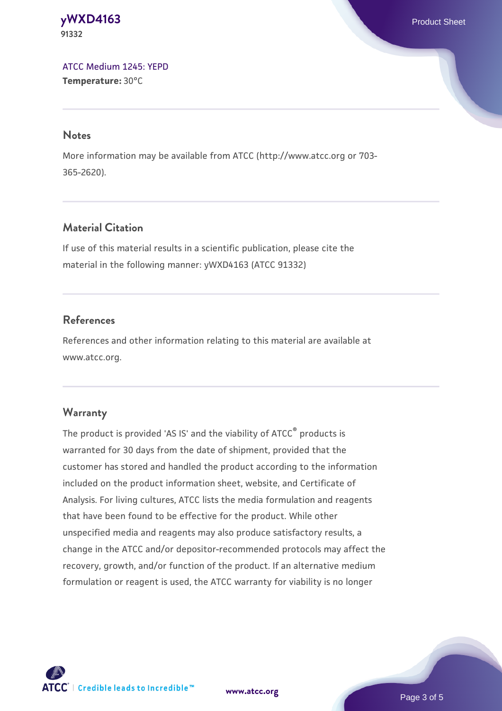#### **[yWXD4163](https://www.atcc.org/products/91332)** Product Sheet **91332**

[ATCC Medium 1245: YEPD](https://www.atcc.org/-/media/product-assets/documents/microbial-media-formulations/1/2/4/5/atcc-medium-1245.pdf?rev=705ca55d1b6f490a808a965d5c072196) **Temperature:** 30°C

#### **Notes**

More information may be available from ATCC (http://www.atcc.org or 703- 365-2620).

## **Material Citation**

If use of this material results in a scientific publication, please cite the material in the following manner: yWXD4163 (ATCC 91332)

## **References**

References and other information relating to this material are available at www.atcc.org.

## **Warranty**

The product is provided 'AS IS' and the viability of ATCC® products is warranted for 30 days from the date of shipment, provided that the customer has stored and handled the product according to the information included on the product information sheet, website, and Certificate of Analysis. For living cultures, ATCC lists the media formulation and reagents that have been found to be effective for the product. While other unspecified media and reagents may also produce satisfactory results, a change in the ATCC and/or depositor-recommended protocols may affect the recovery, growth, and/or function of the product. If an alternative medium formulation or reagent is used, the ATCC warranty for viability is no longer



**[www.atcc.org](http://www.atcc.org)**

Page 3 of 5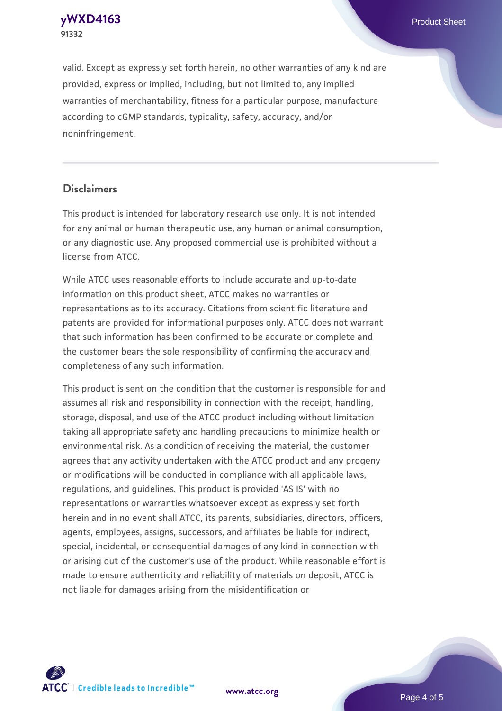**[yWXD4163](https://www.atcc.org/products/91332)** Product Sheet **91332**

valid. Except as expressly set forth herein, no other warranties of any kind are provided, express or implied, including, but not limited to, any implied warranties of merchantability, fitness for a particular purpose, manufacture according to cGMP standards, typicality, safety, accuracy, and/or noninfringement.

#### **Disclaimers**

This product is intended for laboratory research use only. It is not intended for any animal or human therapeutic use, any human or animal consumption, or any diagnostic use. Any proposed commercial use is prohibited without a license from ATCC.

While ATCC uses reasonable efforts to include accurate and up-to-date information on this product sheet, ATCC makes no warranties or representations as to its accuracy. Citations from scientific literature and patents are provided for informational purposes only. ATCC does not warrant that such information has been confirmed to be accurate or complete and the customer bears the sole responsibility of confirming the accuracy and completeness of any such information.

This product is sent on the condition that the customer is responsible for and assumes all risk and responsibility in connection with the receipt, handling, storage, disposal, and use of the ATCC product including without limitation taking all appropriate safety and handling precautions to minimize health or environmental risk. As a condition of receiving the material, the customer agrees that any activity undertaken with the ATCC product and any progeny or modifications will be conducted in compliance with all applicable laws, regulations, and guidelines. This product is provided 'AS IS' with no representations or warranties whatsoever except as expressly set forth herein and in no event shall ATCC, its parents, subsidiaries, directors, officers, agents, employees, assigns, successors, and affiliates be liable for indirect, special, incidental, or consequential damages of any kind in connection with or arising out of the customer's use of the product. While reasonable effort is made to ensure authenticity and reliability of materials on deposit, ATCC is not liable for damages arising from the misidentification or



**[www.atcc.org](http://www.atcc.org)**

Page 4 of 5